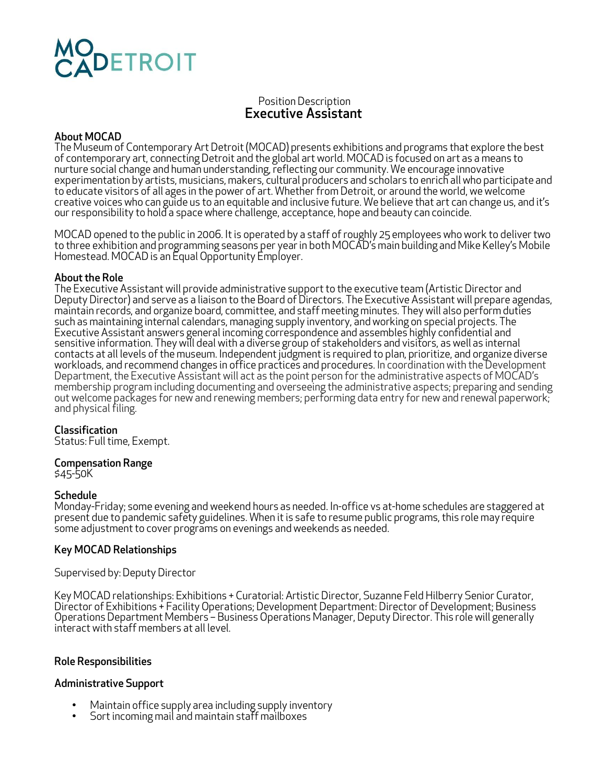# **DETROIT**

# Position Description Executive Assistant

### About MOCAD

The Museum of Contemporary Art Detroit (MOCAD) presents exhibitions and programs that explore the best of contemporary art, connecting Detroit and the global art world. MOCAD is focused on art as a means to nurture social change and human understanding, reflecting our community. We encourage innovative experimentation by artists, musicians, makers, cultural producers and scholars to enrich all who participate and to educate visitors of all ages in the power of art. Whether from Detroit, or around the world, we welcome creative voices who can guide us to an equitable and inclusive future. We believe that art can change us, and it's our responsibility to hold a space where challenge, acceptance, hope and beauty can coincide.

MOCAD opened to the public in 2006. It is operated by a staff of roughly 25 employees who work to deliver two to three exhibition and programming seasons per year in both MOCAD's main building and Mike Kelley's Mobile Homestead. MOCAD is an Equal Opportunity Employer.

#### About the Role

The Executive Assistant will provide administrative support to the executive team (Artistic Director and Deputy Director) and serve as a liaison to the Board of Directors. The Executive Assistant will prepare agendas,<br>maintain records, and organize board, committee, and staff meeting minutes. They will also perform duties such as maintaining internal calendars, managing supply inventory, and working on special projects. The<br>Executive Assistant answers general incoming correspondence and assembles highly confidential and Executive Assistant answers general incoming correspondence and assembles highly confidential and<br>sensitive information. They will deal with a diverse group of stakeholders and visitors, as well as internal contacts at all levels of the museum. Independent judgment is required to plan, prioritize, and organize diverse<br>workloads, and recommend changes in office practices and procedures. In coordination with the Development Department, the Executive Assistant will act as the point person for the administrative aspects of MOCAD's membership program including documenting and overseeing the administrative aspects; preparing and sending out welcome packages for new and renewing members; performing data entry for new and renewal paperwork; and physical filing.

### Classification

Status: Full time, Exempt.

# Compensation Range

\$45-50K

**Schedule**<br>Monday-Friday; some evening and weekend hours as needed. In-office vs at-home schedules are staggered at present due to pandemic safety guidelines. When it is safe to resume public programs, this role may require some adjustment to cover programs on evenings and weekends as needed.

### Key MOCAD Relationships

#### Supervised by: Deputy Director

Key MOCAD relationships: Exhibitions + Curatorial: Artistic Director, Suzanne Feld Hilberry Senior Curator, Director of Exhibitions + Facility Operations; Development Department: Director of Development; Business Operations Department Members – Business Operations Manager, Deputy Director. This role will generally interact with staff members at all level.

### Role Responsibilities

### Administrative Support

- Maintain office supply area including supply inventory<br>• Sort incoming mail and maintain staff mailboxes
-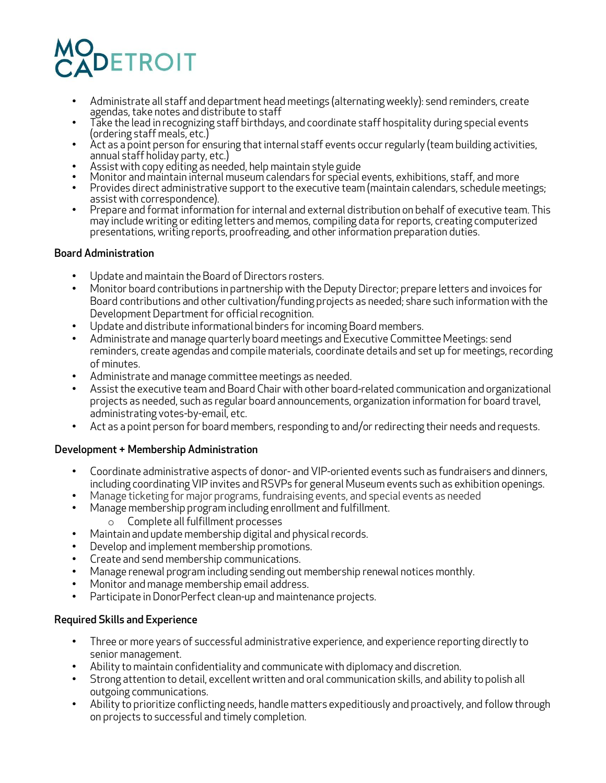# **DETROIT**

- Administrate all staff and department head meetings (alternating weekly): send reminders, create agendas, take notes and distribute to staff
- Take the lead in recognizing staff birthdays, and coordinate staff hospitality during special events (ordering staff meals, etc.)<br>Act as a point person for ensuring that internal staff events occur regularly (team building activities,
- Act as a point person for ensuring that internal staff events occur regularly (team building activit<br>annual staff holiday party, etc.)<br>• Assist with copy editing as needed, help maintain style guide<br>• Monitor and maintai
- 
- 
- Provides direct administrative support to the executive team (maintain calendars, schedule meetings; assist with correspondence).
- Prepare and formation for internal and external distribution on behalf of executive team. This may include writing or editing letters and memos, compiling data for reports, creating computerized presentations, writing reports, proofreading, and other information preparation duties.

# Board Administration

- Update and maintain the Board of Directors rosters.
- Monitor board contributions in partnership with the Deputy Director; prepare letters and invoices for Board contributions and other cultivation/funding projects as needed; share such information with the Development Department for official recognition.
- Update and distribute informational binders for incoming Board members.
- Administrate and manage quarterly board meetings and Executive Committee Meetings: send reminders, create agendas and compile materials, coordinate details and set up for meetings, recording of minutes.
- Administrate and manage committee meetings as needed.
- Assist the executive team and Board Chair with other board-related communication and organizational projects as needed, such as regular board announcements, organization information for board travel, administrating votes-by-email, etc.
- Act as a point person for board members, responding to and/or redirecting their needs and requests.

# Development + Membership Administration

- Coordinate administrative aspects of donor- and VIP-oriented events such as fundraisers and dinners, including coordinating VIP invites and RSVPs for general Museum events such as exhibition openings.
- Manage ticketing for major programs, fundraising events, and special events as needed
- Manage membership program including enrollment and fulfillment.
	- o Complete all fulfillment processes
- Maintain and update membership digital and physical records.
- Develop and implement membership promotions.
- Create and send membership communications.
- Manage renewal program including sending out membership renewal notices monthly.
- Monitor and manage membership email address.
- Participate in DonorPerfect clean-up and maintenance projects.

# Required Skills and Experience

- Three or more years of successful administrative experience, and experience reporting directly to senior management.
- Ability to maintain confidentiality and communicate with diplomacy and discretion.
- Strong attention to detail, excellent written and oral communication skills, and ability to polish all outgoing communications.
- Ability to prioritize conflicting needs, handle matters expeditiously and proactively, and follow through on projects to successful and timely completion.